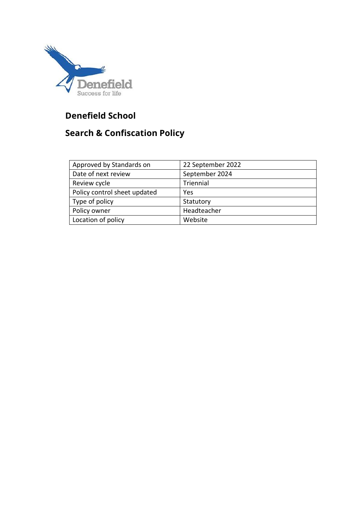

# **Denefield School**

# **Search & Confiscation Policy**

| Approved by Standards on     | 22 September 2022 |
|------------------------------|-------------------|
| Date of next review          | September 2024    |
| Review cycle                 | Triennial         |
| Policy control sheet updated | Yes               |
| Type of policy               | Statutory         |
| Policy owner                 | Headteacher       |
| Location of policy           | Website           |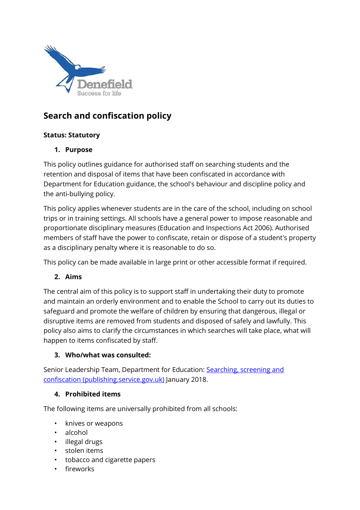

# **Search and confiscation policy**

### **Status: Statutory**

### **1. Purpose**

This policy outlines guidance for authorised staff on searching students and the retention and disposal of items that have been confiscated in accordance with Department for Education guidance, the school's behaviour and discipline policy and the anti-bullying policy.

This policy applies whenever students are in the care of the school, including on school trips or in training settings. All schools have a general power to impose reasonable and proportionate disciplinary measures (Education and Inspections Act 2006). Authorised members of staff have the power to confiscate, retain or dispose of a student's property as a disciplinary penalty where it is reasonable to do so.

This policy can be made available in large print or other accessible format if required.

# **2. Aims**

The central aim of this policy is to support staff in undertaking their duty to promote and maintain an orderly environment and to enable the School to carry out its duties to safeguard and promote the welfare of children by ensuring that dangerous, illegal or disruptive items are removed from students and disposed of safely and lawfully. This policy also aims to clarify the circumstances in which searches will take place, what will happen to items confiscated by staff.

#### **3. Who/what was consulted:**

Senior Leadership Team, Department for Education: Searching, screening and [confiscation \(publishing.service.gov.uk\)](https://assets.publishing.service.gov.uk/government/uploads/system/uploads/attachment_data/file/674416/Searching_screening_and_confiscation.pdf) January 2018.

#### **4. Prohibited items**

The following items are universally prohibited from all schools:

- knives or weapons
- alcohol
- illegal drugs
- stolen items
- tobacco and cigarette papers
- fireworks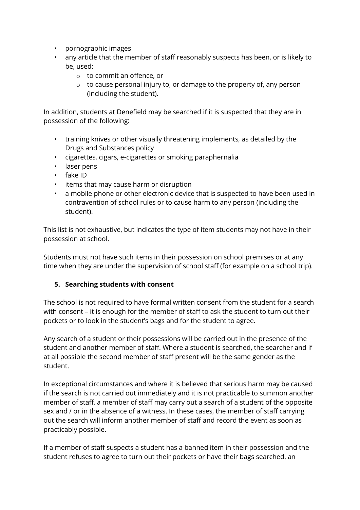- pornographic images
- any article that the member of staff reasonably suspects has been, or is likely to be, used:
	- o to commit an offence, or
	- o to cause personal injury to, or damage to the property of, any person (including the student).

In addition, students at Denefield may be searched if it is suspected that they are in possession of the following:

- training knives or other visually threatening implements, as detailed by the Drugs and Substances policy
- cigarettes, cigars, e-cigarettes or smoking paraphernalia
- laser pens
- fake ID
- items that may cause harm or disruption
- a mobile phone or other electronic device that is suspected to have been used in contravention of school rules or to cause harm to any person (including the student).

This list is not exhaustive, but indicates the type of item students may not have in their possession at school.

Students must not have such items in their possession on school premises or at any time when they are under the supervision of school staff (for example on a school trip).

#### **5. Searching students with consent**

The school is not required to have formal written consent from the student for a search with consent – it is enough for the member of staff to ask the student to turn out their pockets or to look in the student's bags and for the student to agree.

Any search of a student or their possessions will be carried out in the presence of the student and another member of staff. Where a student is searched, the searcher and if at all possible the second member of staff present will be the same gender as the student.

In exceptional circumstances and where it is believed that serious harm may be caused if the search is not carried out immediately and it is not practicable to summon another member of staff, a member of staff may carry out a search of a student of the opposite sex and / or in the absence of a witness. In these cases, the member of staff carrying out the search will inform another member of staff and record the event as soon as practicably possible.

If a member of staff suspects a student has a banned item in their possession and the student refuses to agree to turn out their pockets or have their bags searched, an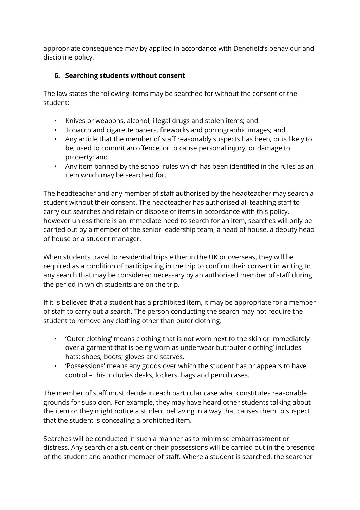appropriate consequence may by applied in accordance with Denefield's behaviour and discipline policy.

# **6. Searching students without consent**

The law states the following items may be searched for without the consent of the student:

- Knives or weapons, alcohol, illegal drugs and stolen items; and
- Tobacco and cigarette papers, fireworks and pornographic images; and
- Any article that the member of staff reasonably suspects has been, or is likely to be, used to commit an offence, or to cause personal injury, or damage to property; and
- Any item banned by the school rules which has been identified in the rules as an item which may be searched for.

The headteacher and any member of staff authorised by the headteacher may search a student without their consent. The headteacher has authorised all teaching staff to carry out searches and retain or dispose of items in accordance with this policy, however unless there is an immediate need to search for an item, searches will only be carried out by a member of the senior leadership team, a head of house, a deputy head of house or a student manager.

When students travel to residential trips either in the UK or overseas, they will be required as a condition of participating in the trip to confirm their consent in writing to any search that may be considered necessary by an authorised member of staff during the period in which students are on the trip.

If it is believed that a student has a prohibited item, it may be appropriate for a member of staff to carry out a search. The person conducting the search may not require the student to remove any clothing other than outer clothing.

- 'Outer clothing' means clothing that is not worn next to the skin or immediately over a garment that is being worn as underwear but 'outer clothing' includes hats; shoes; boots; gloves and scarves.
- 'Possessions' means any goods over which the student has or appears to have control – this includes desks, lockers, bags and pencil cases.

The member of staff must decide in each particular case what constitutes reasonable grounds for suspicion. For example, they may have heard other students talking about the item or they might notice a student behaving in a way that causes them to suspect that the student is concealing a prohibited item.

Searches will be conducted in such a manner as to minimise embarrassment or distress. Any search of a student or their possessions will be carried out in the presence of the student and another member of staff. Where a student is searched, the searcher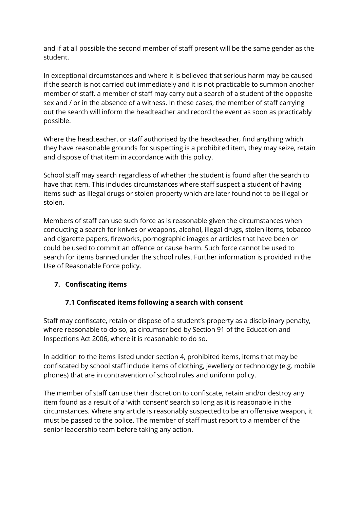and if at all possible the second member of staff present will be the same gender as the student.

In exceptional circumstances and where it is believed that serious harm may be caused if the search is not carried out immediately and it is not practicable to summon another member of staff, a member of staff may carry out a search of a student of the opposite sex and / or in the absence of a witness. In these cases, the member of staff carrying out the search will inform the headteacher and record the event as soon as practicably possible.

Where the headteacher, or staff authorised by the headteacher, find anything which they have reasonable grounds for suspecting is a prohibited item, they may seize, retain and dispose of that item in accordance with this policy.

School staff may search regardless of whether the student is found after the search to have that item. This includes circumstances where staff suspect a student of having items such as illegal drugs or stolen property which are later found not to be illegal or stolen.

Members of staff can use such force as is reasonable given the circumstances when conducting a search for knives or weapons, alcohol, illegal drugs, stolen items, tobacco and cigarette papers, fireworks, pornographic images or articles that have been or could be used to commit an offence or cause harm. Such force cannot be used to search for items banned under the school rules. Further information is provided in the Use of Reasonable Force policy.

#### **7. Confiscating items**

# **7.1 Confiscated items following a search with consent**

Staff may confiscate, retain or dispose of a student's property as a disciplinary penalty, where reasonable to do so, as circumscribed by Section 91 of the Education and Inspections Act 2006, where it is reasonable to do so.

In addition to the items listed under section 4, prohibited items, items that may be confiscated by school staff include items of clothing, jewellery or technology (e.g. mobile phones) that are in contravention of school rules and uniform policy.

The member of staff can use their discretion to confiscate, retain and/or destroy any item found as a result of a 'with consent' search so long as it is reasonable in the circumstances. Where any article is reasonably suspected to be an offensive weapon, it must be passed to the police. The member of staff must report to a member of the senior leadership team before taking any action.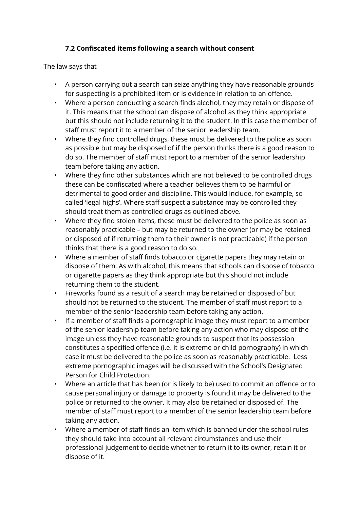### **7.2 Confiscated items following a search without consent**

The law says that

- A person carrying out a search can seize anything they have reasonable grounds for suspecting is a prohibited item or is evidence in relation to an offence.
- Where a person conducting a search finds alcohol, they may retain or dispose of it. This means that the school can dispose of alcohol as they think appropriate but this should not include returning it to the student. In this case the member of staff must report it to a member of the senior leadership team.
- Where they find controlled drugs, these must be delivered to the police as soon as possible but may be disposed of if the person thinks there is a good reason to do so. The member of staff must report to a member of the senior leadership team before taking any action.
- Where they find other substances which are not believed to be controlled drugs these can be confiscated where a teacher believes them to be harmful or detrimental to good order and discipline. This would include, for example, so called 'legal highs'. Where staff suspect a substance may be controlled they should treat them as controlled drugs as outlined above.
- Where they find stolen items, these must be delivered to the police as soon as reasonably practicable – but may be returned to the owner (or may be retained or disposed of if returning them to their owner is not practicable) if the person thinks that there is a good reason to do so.
- Where a member of staff finds tobacco or cigarette papers they may retain or dispose of them. As with alcohol, this means that schools can dispose of tobacco or cigarette papers as they think appropriate but this should not include returning them to the student.
- Fireworks found as a result of a search may be retained or disposed of but should not be returned to the student. The member of staff must report to a member of the senior leadership team before taking any action.
- If a member of staff finds a pornographic image they must report to a member of the senior leadership team before taking any action who may dispose of the image unless they have reasonable grounds to suspect that its possession constitutes a specified offence (i.e. it is extreme or child pornography) in which case it must be delivered to the police as soon as reasonably practicable. Less extreme pornographic images will be discussed with the School's Designated Person for Child Protection.
- Where an article that has been (or is likely to be) used to commit an offence or to cause personal injury or damage to property is found it may be delivered to the police or returned to the owner. It may also be retained or disposed of. The member of staff must report to a member of the senior leadership team before taking any action.
- Where a member of staff finds an item which is banned under the school rules they should take into account all relevant circumstances and use their professional judgement to decide whether to return it to its owner, retain it or dispose of it.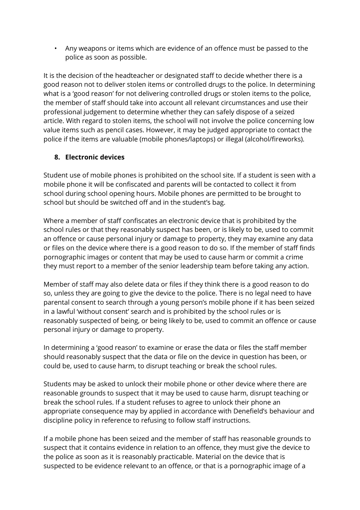• Any weapons or items which are evidence of an offence must be passed to the police as soon as possible.

It is the decision of the headteacher or designated staff to decide whether there is a good reason not to deliver stolen items or controlled drugs to the police. In determining what is a 'good reason' for not delivering controlled drugs or stolen items to the police, the member of staff should take into account all relevant circumstances and use their professional judgement to determine whether they can safely dispose of a seized article. With regard to stolen items, the school will not involve the police concerning low value items such as pencil cases. However, it may be judged appropriate to contact the police if the items are valuable (mobile phones/laptops) or illegal (alcohol/fireworks).

#### **8. Electronic devices**

Student use of mobile phones is prohibited on the school site. If a student is seen with a mobile phone it will be confiscated and parents will be contacted to collect it from school during school opening hours. Mobile phones are permitted to be brought to school but should be switched off and in the student's bag.

Where a member of staff confiscates an electronic device that is prohibited by the school rules or that they reasonably suspect has been, or is likely to be, used to commit an offence or cause personal injury or damage to property, they may examine any data or files on the device where there is a good reason to do so. If the member of staff finds pornographic images or content that may be used to cause harm or commit a crime they must report to a member of the senior leadership team before taking any action.

Member of staff may also delete data or files if they think there is a good reason to do so, unless they are going to give the device to the police. There is no legal need to have parental consent to search through a young person's mobile phone if it has been seized in a lawful 'without consent' search and is prohibited by the school rules or is reasonably suspected of being, or being likely to be, used to commit an offence or cause personal injury or damage to property.

In determining a 'good reason' to examine or erase the data or files the staff member should reasonably suspect that the data or file on the device in question has been, or could be, used to cause harm, to disrupt teaching or break the school rules.

Students may be asked to unlock their mobile phone or other device where there are reasonable grounds to suspect that it may be used to cause harm, disrupt teaching or break the school rules. If a student refuses to agree to unlock their phone an appropriate consequence may by applied in accordance with Denefield's behaviour and discipline policy in reference to refusing to follow staff instructions.

If a mobile phone has been seized and the member of staff has reasonable grounds to suspect that it contains evidence in relation to an offence, they must give the device to the police as soon as it is reasonably practicable. Material on the device that is suspected to be evidence relevant to an offence, or that is a pornographic image of a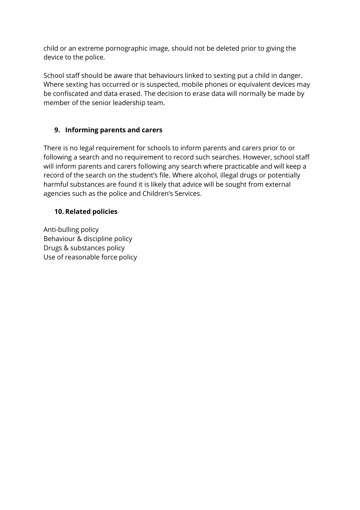child or an extreme pornographic image, should not be deleted prior to giving the device to the police.

School staff should be aware that behaviours linked to sexting put a child in danger. Where sexting has occurred or is suspected, mobile phones or equivalent devices may be confiscated and data erased. The decision to erase data will normally be made by member of the senior leadership team.

### **9. Informing parents and carers**

There is no legal requirement for schools to inform parents and carers prior to or following a search and no requirement to record such searches. However, school staff will inform parents and carers following any search where practicable and will keep a record of the search on the student's file. Where alcohol, illegal drugs or potentially harmful substances are found it is likely that advice will be sought from external agencies such as the police and Children's Services.

#### **10. Related policies**

Anti-bulling policy Behaviour & discipline policy Drugs & substances policy Use of reasonable force policy